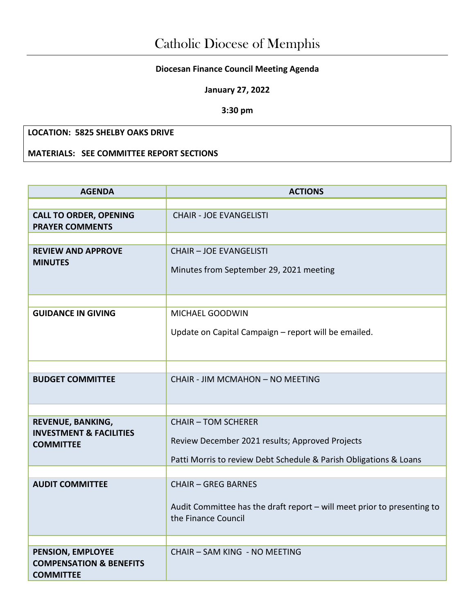## **Diocesan Finance Council Meeting Agenda**

**January 27, 2022**

**3:30 pm**

## **LOCATION: 5825 SHELBY OAKS DRIVE**

**MATERIALS: SEE COMMITTEE REPORT SECTIONS** 

| <b>AGENDA</b>                                                               | <b>ACTIONS</b>                                                                                                                                     |  |  |
|-----------------------------------------------------------------------------|----------------------------------------------------------------------------------------------------------------------------------------------------|--|--|
|                                                                             |                                                                                                                                                    |  |  |
| <b>CALL TO ORDER, OPENING</b><br><b>PRAYER COMMENTS</b>                     | <b>CHAIR - JOE EVANGELISTI</b>                                                                                                                     |  |  |
|                                                                             |                                                                                                                                                    |  |  |
| <b>REVIEW AND APPROVE</b><br><b>MINUTES</b>                                 | <b>CHAIR - JOE EVANGELISTI</b><br>Minutes from September 29, 2021 meeting                                                                          |  |  |
|                                                                             |                                                                                                                                                    |  |  |
| <b>GUIDANCE IN GIVING</b>                                                   | <b>MICHAEL GOODWIN</b>                                                                                                                             |  |  |
|                                                                             | Update on Capital Campaign - report will be emailed.                                                                                               |  |  |
|                                                                             |                                                                                                                                                    |  |  |
| <b>BUDGET COMMITTEE</b>                                                     | CHAIR - JIM MCMAHON - NO MEETING                                                                                                                   |  |  |
|                                                                             |                                                                                                                                                    |  |  |
| REVENUE, BANKING,<br><b>INVESTMENT &amp; FACILITIES</b><br><b>COMMITTEE</b> | <b>CHAIR - TOM SCHERER</b><br>Review December 2021 results; Approved Projects<br>Patti Morris to review Debt Schedule & Parish Obligations & Loans |  |  |
|                                                                             |                                                                                                                                                    |  |  |
| <b>AUDIT COMMITTEE</b>                                                      | <b>CHAIR - GREG BARNES</b><br>Audit Committee has the draft report - will meet prior to presenting to<br>the Finance Council                       |  |  |
|                                                                             |                                                                                                                                                    |  |  |
| PENSION, EMPLOYEE<br><b>COMPENSATION &amp; BENEFITS</b><br><b>COMMITTEE</b> | CHAIR - SAM KING - NO MEETING                                                                                                                      |  |  |